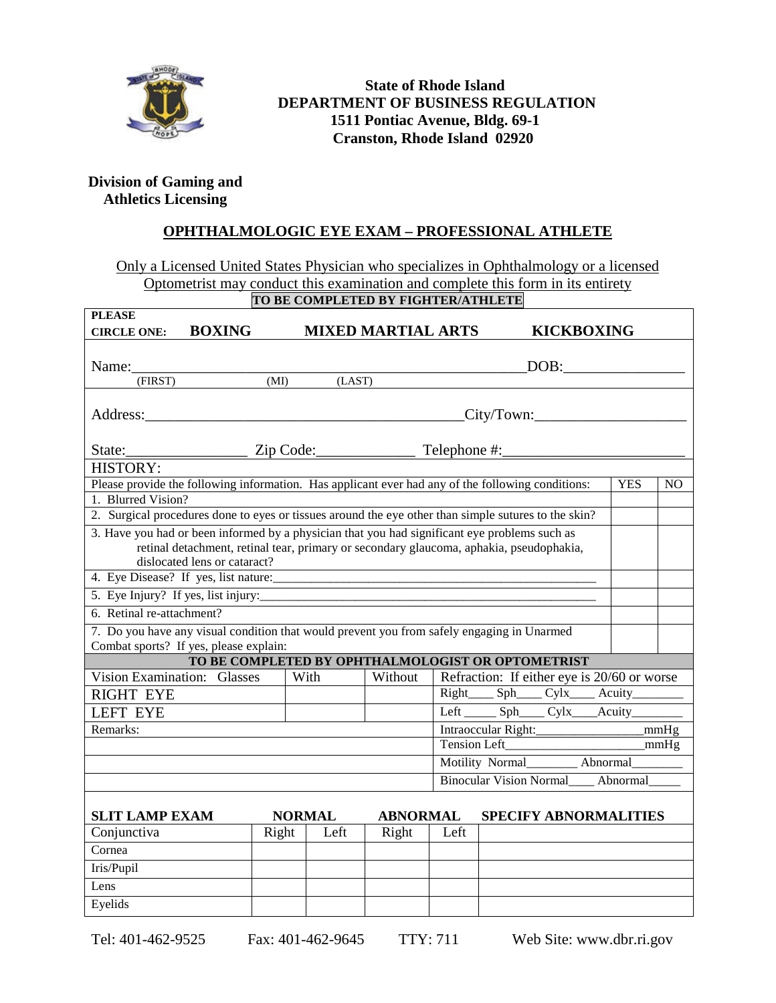

## **State of Rhode Island DEPARTMENT OF BUSINESS REGULATION 1511 Pontiac Avenue, Bldg. 69-1 Cranston, Rhode Island 02920**

## **Division of Gaming and Athletics Licensing**

## **OPHTHALMOLOGIC EYE EXAM – PROFESSIONAL ATHLETE**

Only a Licensed United States Physician who specializes in Ophthalmology or a licensed Optometrist may conduct this examination and complete this form in its entirety

| TO BE COMPLETED BY FIGHTER/ATHLETE                                                                                                                                                                                            |                                                                                         |                                                                     |                           |                                            |                                              |                   |            |                |
|-------------------------------------------------------------------------------------------------------------------------------------------------------------------------------------------------------------------------------|-----------------------------------------------------------------------------------------|---------------------------------------------------------------------|---------------------------|--------------------------------------------|----------------------------------------------|-------------------|------------|----------------|
| <b>PLEASE</b><br><b>CIRCLE ONE:</b>                                                                                                                                                                                           | <b>BOXING</b>                                                                           |                                                                     | <b>MIXED MARTIAL ARTS</b> |                                            |                                              | <b>KICKBOXING</b> |            |                |
|                                                                                                                                                                                                                               |                                                                                         |                                                                     |                           |                                            |                                              |                   |            |                |
| Name: Name and the same state of the same state of the same state of the same state of the same state of the same state of the same state of the same state of the same state of the same state of the same state of the same |                                                                                         |                                                                     |                           |                                            |                                              | DOB:              |            |                |
| (FIRST)                                                                                                                                                                                                                       | (MI)                                                                                    | (LAST)                                                              |                           |                                            |                                              |                   |            |                |
|                                                                                                                                                                                                                               |                                                                                         |                                                                     |                           |                                            |                                              |                   |            |                |
| Address:                                                                                                                                                                                                                      |                                                                                         | <u> 1989 - Johann Barbara, martxa alemaniar amerikan basar da a</u> |                           |                                            | City/Town:                                   |                   |            |                |
|                                                                                                                                                                                                                               |                                                                                         |                                                                     |                           |                                            |                                              |                   |            |                |
| State: <u>Zip Code: Telephone</u> #:<br><b>HISTORY:</b>                                                                                                                                                                       |                                                                                         |                                                                     |                           |                                            |                                              |                   |            |                |
| Please provide the following information. Has applicant ever had any of the following conditions:                                                                                                                             |                                                                                         |                                                                     |                           |                                            |                                              |                   | <b>YES</b> | N <sub>O</sub> |
| 1. Blurred Vision?                                                                                                                                                                                                            |                                                                                         |                                                                     |                           |                                            |                                              |                   |            |                |
| 2. Surgical procedures done to eyes or tissues around the eye other than simple sutures to the skin?                                                                                                                          |                                                                                         |                                                                     |                           |                                            |                                              |                   |            |                |
| 3. Have you had or been informed by a physician that you had significant eye problems such as                                                                                                                                 |                                                                                         |                                                                     |                           |                                            |                                              |                   |            |                |
|                                                                                                                                                                                                                               | retinal detachment, retinal tear, primary or secondary glaucoma, aphakia, pseudophakia, |                                                                     |                           |                                            |                                              |                   |            |                |
|                                                                                                                                                                                                                               | dislocated lens or cataract?                                                            |                                                                     |                           |                                            |                                              |                   |            |                |
| 4. Eye Disease? If yes, list nature:<br>and the state of the state of the                                                                                                                                                     |                                                                                         |                                                                     |                           |                                            |                                              |                   |            |                |
| 5. Eye Injury? If yes, list injury:                                                                                                                                                                                           |                                                                                         |                                                                     |                           |                                            |                                              |                   |            |                |
| 6. Retinal re-attachment?                                                                                                                                                                                                     |                                                                                         |                                                                     |                           |                                            |                                              |                   |            |                |
| 7. Do you have any visual condition that would prevent you from safely engaging in Unarmed                                                                                                                                    |                                                                                         |                                                                     |                           |                                            |                                              |                   |            |                |
| Combat sports? If yes, please explain:                                                                                                                                                                                        |                                                                                         |                                                                     |                           |                                            |                                              |                   |            |                |
| TO BE COMPLETED BY OPHTHALMOLOGIST OR OPTOMETRIST                                                                                                                                                                             |                                                                                         |                                                                     |                           |                                            |                                              |                   |            |                |
| Vision Examination: Glasses                                                                                                                                                                                                   |                                                                                         | With                                                                | Without                   |                                            | Refraction: If either eye is 20/60 or worse  |                   |            |                |
| <b>RIGHT EYE</b>                                                                                                                                                                                                              |                                                                                         |                                                                     |                           |                                            | Right______ Sph_____ Cylx_____ Acuity_______ |                   |            |                |
| <b>LEFT EYE</b>                                                                                                                                                                                                               |                                                                                         |                                                                     |                           |                                            |                                              |                   |            |                |
| Remarks:                                                                                                                                                                                                                      |                                                                                         |                                                                     |                           | Intraoccular Right:<br>mmHg                |                                              |                   |            |                |
|                                                                                                                                                                                                                               |                                                                                         |                                                                     |                           | Tension Left                               |                                              |                   |            |                |
|                                                                                                                                                                                                                               |                                                                                         |                                                                     |                           |                                            | Motility Normal________ Abnormal_            |                   |            |                |
|                                                                                                                                                                                                                               |                                                                                         |                                                                     |                           | Abnormal<br><b>Binocular Vision Normal</b> |                                              |                   |            |                |
|                                                                                                                                                                                                                               |                                                                                         |                                                                     |                           |                                            |                                              |                   |            |                |
| <b>SLIT LAMP EXAM</b>                                                                                                                                                                                                         |                                                                                         | <b>NORMAL</b>                                                       | <b>ABNORMAL</b>           |                                            | <b>SPECIFY ABNORMALITIES</b>                 |                   |            |                |
| Conjunctiva                                                                                                                                                                                                                   | Right                                                                                   | Left                                                                | Right                     | Left                                       |                                              |                   |            |                |
| Cornea                                                                                                                                                                                                                        |                                                                                         |                                                                     |                           |                                            |                                              |                   |            |                |
| Iris/Pupil                                                                                                                                                                                                                    |                                                                                         |                                                                     |                           |                                            |                                              |                   |            |                |
| Lens                                                                                                                                                                                                                          |                                                                                         |                                                                     |                           |                                            |                                              |                   |            |                |
| Eyelids                                                                                                                                                                                                                       |                                                                                         |                                                                     |                           |                                            |                                              |                   |            |                |